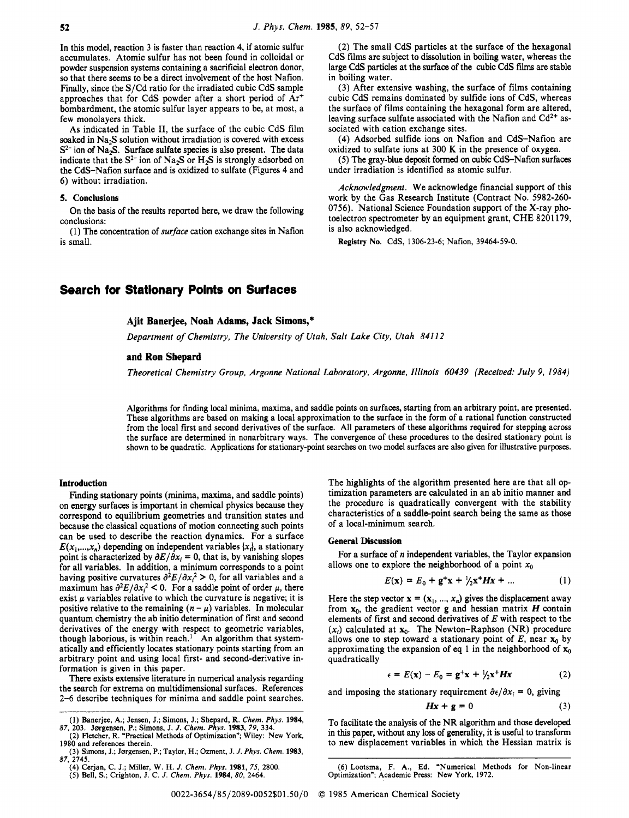**In** this model, reaction 3 is faster than reaction **4,** if atomic sulfur accumulates. Atomic sulfur has not been found in colloidal or powder suspension systems containing a sacrificial electron donor, so that there **seems** to be a direct involvement of the host Nafion. Finally, since the S/Cd ratio for the irradiated cubic CdS sample approaches that for CdS powder after a short period of Ar+ bombardment, the atomic sulfur layer appears to be, at most, a few monolayers thick.

As indicated in Table **11,** the surface of the cubic CdS film soaked in Na<sub>2</sub>S solution without irradiation is covered with excess  $S<sup>2-</sup>$  ion of Na<sub>2</sub>S. Surface sulfate species is also present. The data indicate that the  $S^{2-}$  ion of Na<sub>2</sub>S or H<sub>2</sub>S is strongly adsorbed on the CdS-Nafion surface and is oxidized to sulfate (Figures **4** and **6)** without irradiation.

#### **5. Conclusions**

conclusions: **On** the basis of the results reported here, we draw the following

is small. **(1)** The concentration of *surface* cation exchange sites in Nafion

**(2)** The small CdS particles at the surface of the hexagonal CdS films are subject to dissolution in boiling water, whereas the large CdS particles at the surface of the cubic CdS films are stable in boiling water.

(3) After extensive washing, the surface of films containing cubic CdS remains dominated by sulfide ions of CdS, whereas the surface of films containing the hexagonal form are altered, leaving surface sulfate associated with the Nafion and  $Cd^{2+}$  associated with cation exchange sites.

**(4)** Adsorbed sulfide ions **on** Nafion and CdS-Nafion are oxidized to sulfate ions at 300 K in the presence of oxygen.

**(5)** The gray-blue deposit formed **on** cubic CdS-Nafion surfaces under irradiation is identified as atomic sulfur.

*Acknowledgment.* We acknowledge financial support of this work by the Gas Research Institute (Contract No. **5982-260- 0756).** National Science Foundation support of the X-ray photoelectron spectrometer by an equipment grant, CHE **8201 179,**  is also acknowledged.

**Registry No. CdS, 1306-23-6; Nafion, 39464-59-0.** 

# **Search for Statlonary Polnts on Surfaces**

### **Ajit Banerjee, Noah Adams, Jack Simons,\***

*Department of Chemistry, The University of Utah, Salt Lake City, Utah 841 12* 

## **and Ron Shepard**

*Theoretical Chemistry Group, Argonne National Laboratory, Argonne, Illinois 60439 (Received: July 9, 1984)* 

Algorithms for finding local minima, maxima, and saddle points **on** surfaces, starting from an arbitrary point, are presented. These algorithms are based **on** making a local approximation to the surface in the form of a rational function constructed from the local first and second derivatives of the surface. All parameters of these algorithms required for stepping across the surface are determined in nonarbitrary ways. The convergence of these procedures to the desired stationary point is shown to be quadratic. Applications for stationary-point searches on two model surfaces are also given for illustrative purposes.

#### **Introduction**

Finding stationary **points** (minima, maxima, and saddle points) on energy surfaces is important in chemical physics because they correspond to equilibrium geometries and transition states and because the classical equations of motion connecting such points can be used to describe the reaction dynamics. For a surface  $E(x_1,...,x_n)$  depending on independent variables  $\{x_i\}$ , a stationary point is characterized by  $\partial E/\partial x_i = 0$ , that is, by vanishing slopes for all variables. **In** addition, a minimum corresponds to a point having positive curvatures  $\frac{\partial^2 E}{\partial x_i^2} > 0$ , for all variables and a maximum has  $\partial^2 E/\partial x_i^2 < 0$ . For a saddle point of order  $\mu$ , there exist *u* variables relative to which the curvature is negative; it is positive relative to the remaining  $(n - \mu)$  variables. In molecular quantum chemistry the ab initio determination of first and second derivatives of the energy with respect to geometric variables, though laborious, is within reach.' An algorithm that systematically and efficiently locates stationary points starting from an arbitrary point and using local first- and second-derivative information is given in this paper.

There exists extensive literature in numerical analysis regarding the search for extrema **on** multidimensional surfaces. References **2-6** describe techniques for minima and saddle point searches.

The highlights of the algorithm presented here are that all optimization parameters are calculated in an ab initio manner and the procedure is quadratically convergent with the stability characteristics of a saddle-point search being the same as those of a local-minimum search.

#### **General Discussion**

allows one to explore the neighborhood of a point  $x_0$ For a surface of *n* independent variables, the Taylor expansion

$$
E(\mathbf{x}) = E_0 + \mathbf{g}^+ \mathbf{x} + \frac{1}{2} \mathbf{x}^+ H \mathbf{x} + \dots \tag{1}
$$

Here the step vector  $\mathbf{x} = (\mathbf{x}_1, ..., \mathbf{x}_n)$  gives the displacement away from  $x_0$ , the gradient vector **g** and hessian matrix *H* contain elements of first and second derivatives of *E* with respect to the  $(x_i)$  calculated at  $x_0$ . The Newton-Raphson (NR) procedure allows one to step toward a stationary point of  $E$ , near  $\mathbf{x}_0$  by approximating the expansion **of** eq **1** in the neighborhood of **x,**  quadratically

$$
\epsilon = E(\mathbf{x}) - E_0 = \mathbf{g}^+ \mathbf{x} + \frac{1}{2} \mathbf{x}^+ H \mathbf{x} \tag{2}
$$

and imposing the stationary requirement  $\partial \epsilon / \partial x_i = 0$ , giving

$$
Hx + g = 0 \tag{3}
$$

to new displacement variables in which the Hessian matrix is 87, 203. Jørgensen, P.; Simons, J. J. Chem. Phys. 1983, 79, 334.<br>(2) Fletcher, R. "Practical Methods of Optimization"; Wiley: New York, in this paper, without any loss of generality, it is useful to transform

<sup>(1)</sup> Banerjee, A.; Jensen, J.; Simons, J.; Shepard, R. *Chem. Phys.* **1984**, To facilitate the analysis of the NR algorithm and those developed

**<sup>(3)</sup> Simons, J.; Jørgensen, P.; Taylor, H.; Ozment, J.** *J. Phys. Chem.* **<b>1983**, **1983 87, 2745.** 

**<sup>(5)</sup> Bell, S.; Crighton, J. C.** *J. Chem. Phys.* **1984,** *80,* **2464.** 

**<sup>(4)</sup> Cerjan, C. J.; Miller, W. H.** *J. Chem. Phys.* **1981, 75, 2800. (6) Lootsma, F. A., Ed. "Numerical Methods for Non-linear Optimization"; Academic Press: New York, 1972.**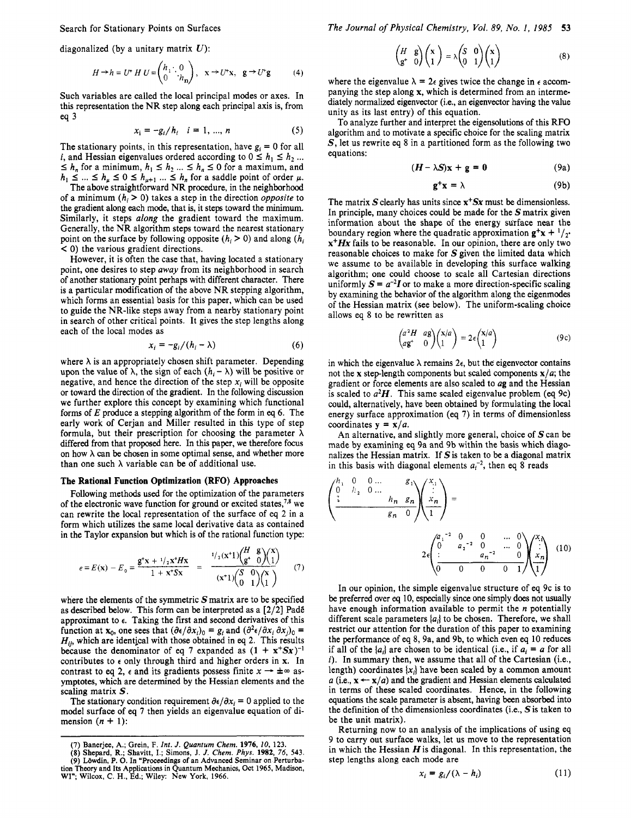Search for Stationary Points on Surfaces

diagonalized (by a unitary matrix *U):* 

$$
H \to h = U^* \, H \, U = \begin{pmatrix} h_1 \cdot 0 \\ 0 \cdot h_n \end{pmatrix}, \quad \mathbf{x} \to U^* \mathbf{x}, \quad \mathbf{g} \to U^* \mathbf{g} \tag{4}
$$

Such variables are called the local principal modes or axes. In this representation the NR step along each principal axis is, from eq **3** 

$$
x_i = -g_i/h_i \quad i = 1, ..., n \tag{5}
$$

The stationary points, in this representation, have  $g_i = 0$  for all *i*, and Hessian eigenvalues ordered according to  $0 \le h_1 \le h_2$ ... The stationary points, in this representation, have  $g_i = 0$  for all *i*, and Hessian eigenvalues ordered according to  $0 \le h_1 \le h_2 \dots \le h_n$  for a minimum,  $h_1 \le h_2 \dots \le h_n \le 0$  for a maximum, and  $h_2 \le h_1 \le h_2 \dots \le h_n$  or a s *h*, and Hessian eigenvalues ordered according to  $0 \le h_1 \le h_2$ ...  $\le h_n$  for a minimum,  $h_1 \le h_2 \dots \le h_n \le 0$  for a maximum, and  $h_1 \le \dots \le h_n \le 0 \le h_{\mu+1} \dots \le h_n$  for a saddle point of order  $\mu$ .<br>The above straightforward

of a minimum  $(h_i > 0)$  takes a step in the direction *opposite* to the gradient along each mode, that is, it steps toward the minimum. Similarly, it steps *along* the gradient toward the maximum. Generally, the NR algorithm steps toward the nearest stationary point on the surface by following opposite  $(h_i \geq 0)$  and along  $(h_i \geq 0)$ < 0) the various gradient directions.

However, it is often the case that, having located a stationary point, one desires to step *away* from its neighborhood in search of another stationary point perhaps with different character. There is a particular modification of the above NR stepping algorithm, which forms an essential basis for this paper, which can be used to guide the NR-like steps away from a nearby stationary point in search of other critical points. It gives the step lengths along each of the local modes as

$$
x_i = -g_i/(h_i - \lambda) \tag{6}
$$

where  $\lambda$  is an appropriately chosen shift parameter. Depending upon the value of  $\lambda$ , the sign of each  $(h_i - \lambda)$  will be positive or negative, and hence the direction of the step  $x_i$  will be opposite or toward the direction of the gradient. In the following discussion we further explore this concept by examining which functional forms of *E* produce a stepping algorithm of the form in *eq* 6. The early work of Cerjan and Miller resulted in this type of step formula, but their prescription for choosing the parameter  $\lambda$ differed from that proposed here. In this paper, we therefore **focus**  on how  $\lambda$  can be chosen in some optimal sense, and whether more than one such  $\lambda$  variable can be of additional use.

#### **The Rational Function Optimization (RFO) Approaches**

Following methods used for the optimization of the parameters of the electronic wave function for ground or excited states,  $7.8$  we can rewrite the local representation of the surface of eq **2** in a form which utilizes the same local derivative data as contained in the Taylor expansion but which is of the rational function type:

$$
\epsilon = E(\mathbf{x}) - E_0 = \frac{\mathbf{g}^{\mathbf{t}} \mathbf{x} + \frac{1}{2} \mathbf{x}^{\mathbf{t}} H \mathbf{x}}{1 + \mathbf{x}^{\mathbf{t}} S \mathbf{x}} = \frac{\frac{1}{2} (\mathbf{x}^{\mathbf{t}} \mathbf{1}) \begin{pmatrix} H & \mathbf{g} \\ \mathbf{g}^{\mathbf{t}} & 0 \end{pmatrix} \begin{pmatrix} \mathbf{x} \\ 1 \end{pmatrix}}{(\mathbf{x}^{\mathbf{t}} \mathbf{1}) \begin{pmatrix} S & 0 \\ 0 & 1 \end{pmatrix} \begin{pmatrix} \mathbf{x} \\ 1 \end{pmatrix}} \tag{7}
$$

where the elements of the symmetric *S* matrix are to be specified as described below. This form can be interpreted as a **[2/2]** PadE approximant to **e.** Taking the first and second derivatives of this function at **x**<sub>0</sub>, one sees that  $(\partial \epsilon/\partial x_i)_0 = g_i$  and  $(\partial^2 \epsilon/\partial x_i \partial x_j)_0 =$ *Hi,,* which are identical with those obtained in *eq* **2.** This results because the denominator of eq 7 expanded as  $(1 + x^+Sx)^{-1}$ because the denominator of eq  $\prime$  expanded as  $(1 + x^r S x)^{-1}$  contributes to  $\epsilon$  only through third and higher orders in **x**. In contrast to eq 2,  $\epsilon$  and its gradients possess finite  $x \rightarrow \pm \infty$  asymptotes, which are determined by the Hessian elements and the scaling matrix *S.* 

The stationary condition requirement  $\partial \epsilon / \partial x_i = 0$  applied to the model surface of *eq* **7** then yields an eigenvalue equation of dimension  $(n + 1)$ :

*The Journal of Physical Chemistry, Vol. 89, No. 1, 1985* **53** 

$$
\begin{pmatrix} H & g \\ g^+ & 0 \end{pmatrix} \begin{pmatrix} x \\ 1 \end{pmatrix} = \lambda \begin{pmatrix} S & 0 \\ 0 & 1 \end{pmatrix} \begin{pmatrix} x \\ 1 \end{pmatrix}
$$
 (8)

where the eigenvalue  $\lambda = 2\epsilon$  gives twice the change in  $\epsilon$  accompanying the step along **x,** which is determined from an intermediately normalized eigenvector (i.e., an eigenvector having the value unity as its last entry) of this equation.

To analyze further and interpret the eigensolutions of this RFO algorithm and to motivate a specific choice for the scaling matrix  $S$ , let us rewrite eq 8 in a partitioned form as the following two equations:

$$
(H - \lambda S)x + g = 0 \tag{9a}
$$

$$
g^+x = \lambda \tag{9b}
$$

The matrix *S* clearly has units since **x+Sx** must be dimensionless. In principle, many choices could be made for the *S* matrix given information about the shape of the energy surface near the boundary region where the quadratic approximation  $g^+x + \frac{1}{2}$ . **x+Hx** fails to be reasonable. In our opinion, there are only two reasonable choices to make for *S* given the limited data which we assume to be available in developing this surface walking algorithm; one could choose to scale all Cartesian directions uniformly  $S = a^{-2}I$  or to make a more direction-specific scaling by examining the behavior of the algorithm along the eigenmodes of the Hessian matrix (see below). The uniform-scaling choice allows eq 8 to be rewritten as

$$
\begin{pmatrix} a^2H & a\mathbf{g} \\ a\mathbf{g}^* & 0 \end{pmatrix} \begin{pmatrix} \mathbf{x}/a \\ 1 \end{pmatrix} = 2\epsilon \begin{pmatrix} \mathbf{x}/a \\ 1 \end{pmatrix} \tag{9c}
$$

in which the eigenvalue  $\lambda$  remains  $2\epsilon$ , but the eigenvector contains not the **x** step-length components but scaled components  $\mathbf{x}/a$ ; the gradient or force elements are also scaled to **ag** and the Hessian is scaled to  $a^2H$ . This same scaled eigenvalue problem (eq 9c) could, alternatively, have been obtained by formulating the local energy surface approximation (eq **7)** in terms of dimensionless coordinates  $y = x/a$ .

**An** alternative, and slightly more general, choice of Scan be made by examining eq 9a and 9b within the basis which diagonalizes the Hessian matrix. If  $S$  is taken to be a diagonal matrix in this basis with diagonal elements  $a_i^{-2}$ , then eq 8 reads

$$
\left(\begin{array}{cccccc}\n h_1 & 0 & 0 & \dots & g_1 \\
 0 & h_2 & 0 & \dots & h_n & g_n \\
 \hline\n & & g_n & 0\n \end{array}\right)\n \left(\begin{array}{c}\n x_1 \\
 x_n \\
 x_n\n \end{array}\right) =\n 2e\n \left(\begin{array}{cccccc}\n a_1^{-2} & 0 & \dots & 0 \\
 0 & a_2^{-2} & 0 & \dots & 0 \\
 \hline\n & & & a_n^{-2} & 0 \\
 0 & 0 & 0 & 0 & 1\n \end{array}\right)\n \left(\begin{array}{c}\n x_1 \\
 x_2 \\
 x_3\n \end{array}\right)\n \tag{10}
$$

In our opinion, the simple eigenvalue structure of eq 9c is to be preferred over *eq* 10, especially since one simply does not usually have enough information available to permit the *n* potentially different scale parameters *[ai)* to be chosen. Therefore, we shall restrict our attention for the duration of this paper to examining the performance of *eq* 8,9a, and 9b, to which even *eq* 10 reduces if all of the  $\{a_i\}$  are chosen to be identical (i.e., if  $a_i = a$  for all *i*). In summary then, we assume that all of the Cartesian (i.e., length) coordinates  $\{x_i\}$  have been scaled by a common amount *a* (i.e.,  $\mathbf{x} \leftarrow \mathbf{x}/a$ ) and the gradient and Hessian elements calculated in terms of these scaled coordinates. Hence, in the following equations the scale parameter is absent, having **been** absorbed into the definition of the dimensionless coordinates (Le., *S* is taken to be the unit matrix).

Returning now to an analysis of the implications of using eq 9 to carry out surface walks, let us move to the representation in which the Hessian  $H$  is diagonal. In this representation, the step lengths along each mode are

$$
x_i = g_i/(\lambda - h_i) \tag{11}
$$

**<sup>(7)</sup> Banerjee, A.; Grein, F.** *Inr. J. Quantum Chem.* **1976,** *10,* **123. (8) Shepard, R.; Shavitt, I.; Simons, J.** *J. Chem. Phys.* **1982,** *76,* **543.**  (6) Suepard, K., Shavitt, 1., Shavitt, 1., Shavitt, Phys. 1982, 70, 349.<br>
(9) Löwdin, P. O. In "Proceedings of an Advanced Seminar on Perturba-<br>
tion Theory and Its Applications in Quantum Mechanics, Oct 1965, Madison,<br>
WI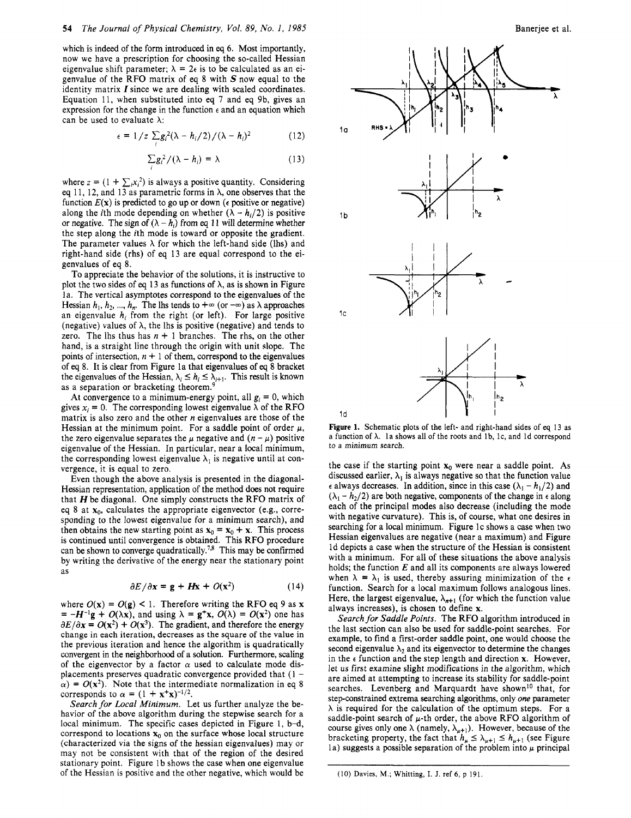# **54** *The Journal of Physical Chemistry, Vol. 89, No. I, 1985*

which is indeed of the form introduced in *eq 6.* Most importantly, now we have a prescription for choosing the so-called Hessian eigenvalue shift parameter;  $\lambda = 2\epsilon$  is to be calculated as an eigenvalue of the RFO matrix of eq 8 with  $S$  now equal to the identity matrix *I* since we are dealing with scaled coordinates. Equation 11, when substituted into eq **7** and eq 9b, gives an expression for the change in the function  $\epsilon$  and an equation which can be used to evaluate  $\lambda$ :

$$
\epsilon = 1/z \sum_{i} g_i^2 (\lambda - h_i/2) / (\lambda - h_i)^2 \tag{12}
$$

$$
\sum g_i^2/(\lambda - h_i) = \lambda \tag{13}
$$

where  $z = (1 + \sum_i x_i^2)$  is always a positive quantity. Considering eq 11, 12, and 13 as parametric forms in  $\lambda$ , one observes that the function  $E(x)$  is predicted to go up or down ( $\epsilon$  positive or negative) along the *i*th mode depending on whether  $(\lambda - h_i/2)$  is positive or negative. The sign of  $(\lambda - h_i)$  from eq 11 will determine whether the step along the ith mode is toward or opposite the gradient. The parameter values  $\lambda$  for which the left-hand side (lhs) and right-hand side (rhs) of eq 13 are equal correspond to the eigenvalues of eq 8.

*I* 

To appreciate the behavior of the solutions, it is instructive to plot the two sides of eq 13 as functions of  $\lambda$ , as is shown in Figure la. The vertical asymptotes correspond to the eigenvalues of the Hessian  $h_1, h_2, ..., h_n$ . The lhs tends to  $+\infty$  (or  $-\infty$ ) as  $\lambda$  approaches an eigenvalue  $h_i$  from the right (or left). For large positive (negative) values of  $\lambda$ , the lhs is positive (negative) and tends to zero. The lhs thus has  $n + 1$  branches. The rhs, on the other hand, is a straight line through the origin with unit slope. The points of intersection,  $n + 1$  of them, correspond to the eigenvalues of *eq* 8. It is clear from Figure la that eigenvalues of *eq* 8 bracket the eigenvalues of the Hessian,  $\lambda_i \leq h_i \leq \lambda_{i+1}$ . This result is known as a separation or bracketing theorem.<sup>9</sup>

At convergence to a minimum-energy point, all  $g_i = 0$ , which gives  $x_i = 0$ . The corresponding lowest eigenvalue  $\lambda$  of the RFO matrix is also zero and the other *n* eigenvalues are those of the Hessian at the minimum point. For a saddle point of order  $\mu$ , the zero eigenvalue separates the  $\mu$  negative and  $(n - \mu)$  positive eigenvalue of the Hessian. In particular, near a local minimum, the corresponding lowest eigenvalue  $\lambda_1$  is negative until at convergence, it is equal to zero.

Even though the above analysis is presented in the diagonal-Hessian representation, application of the method does not require that *H* be diagonal. One simply constructs the RFO matrix of eq 8 at  $x_0$ , calculates the appropriate eigenvector (e.g., corresponding to the lowest eigenvalue for a minimum search), and then obtains the new starting point as  $\mathbf{x}_0 = \mathbf{x}_0 + \mathbf{x}$ . This process is continued until convergence is obtained. This RFO procedure can be shown to converge quadratically.<sup>7,8</sup> This may be confirmed by writing the derivative of the energy near the stationary point as

$$
\partial E/\partial x = \mathbf{g} + H\mathbf{x} + O(\mathbf{x}^2)
$$
 (14)

where  $O(x) = O(g) < 1$ . Therefore writing the RFO eq 9 as **x**  $= -H^{-1}g + O(\lambda x)$ , and using  $\lambda = g^+x$ ,  $O(\lambda) = O(x^2)$  one has  $\partial E/\partial x = O(x^2) + O(x^3)$ . The gradient, and therefore the energy change in each iteration, decreases as the square of the value in the previous iteration and hence the algorithm is quadratically convergent in the neighborhood of a solution. Furthermore, scaling of the eigenvector by a factor  $\alpha$  used to calculate mode displacements preserves quadratic convergence provided that  $(1 \alpha$ ) =  $O(x^2)$ . Note that the intermediate normalization in eq 8 corresponds to  $\alpha = (1 + \mathbf{x}^T \mathbf{x})^{-1/2}$ .

*Search for Local Minimum.* Let us further analyze the behavior of the above algorithm during the stepwise search for a local minimum. The specific cases depicted in Figure 1, b-d, correspond to locations  $\mathbf{x}_0$  on the surface whose local structure (characterized via the signs of the hessian eigenvalues) may or may not be consistent with that of the region of the desired stationary point. Figure 1b shows the case when one eigenvalue of the Hessian **is** positive and the other negative, which would be



**Figure 1.** Schematic plots of the left- and right-hand sides of eq 13 as a function of  $\lambda$ . la shows all of the roots and 1b, 1c, and 1d correspond to a minimum search.

the case if the starting point  $x_0$  were near a saddle point. As discussed earlier,  $\lambda_1$  is always negative so that the function value  $\epsilon$  always decreases. In addition, since in this case ( $\lambda_1 - h_1/2$ ) and  $(\lambda_1 - h_2/2)$  are both negative, components of the change in  $\epsilon$  along each of the principal modes also decrease (including the mode with negative curvature). This is, of course, what one desires in searching for a local minimum. Figure 1c shows a case when two Hessian eigenvalues are negative (near a maximum) and Figure Id depicts a case when the structure of the Hessian is consistent with a minimum. For all of these situations the above analysis holds; the function **E** and all its components are always lowered when  $\lambda = \lambda_1$  is used, thereby assuring minimization of the  $\epsilon$ function. Search for a local maximum follows analogous lines. Here, the largest eigenvalue,  $\lambda_{n+1}$  (for which the function value always increases), is chosen to define **x.** 

*Search for Saddle Points.* The RFO algorithm introduced in the last section can also be used for saddle-point searches. For example, to find a first-order saddle point, one would choose the second eigenvalue  $\lambda_2$  and its eigenvector to determine the changes in the  $\epsilon$  function and the step length and direction **x**. However, let **us** first examine slight modifications in the algorithm, which are aimed at attempting to increase its stability for saddle-point searches. Levenberg and Marquardt have shown<sup>10</sup> that, for step-constrained extrema searching algorithms, only *one* parameter  $\lambda$  is required for the calculation of the optimum steps. For a saddle-point search of  $\mu$ -th order, the above RFO algorithm of course gives only one  $\lambda$  (namely,  $\lambda_{\mu+1}$ ). However, because of the bracketing property, the fact that  $h_{\mu} \leq \lambda_{\mu+1} \leq h_{\mu+1}$  (see Figure la) suggests a possible separation of the problem into  $\mu$  principal

<sup>(10)</sup> **Davies, M.; Whitting,** I. J. ref *6,* **p** 191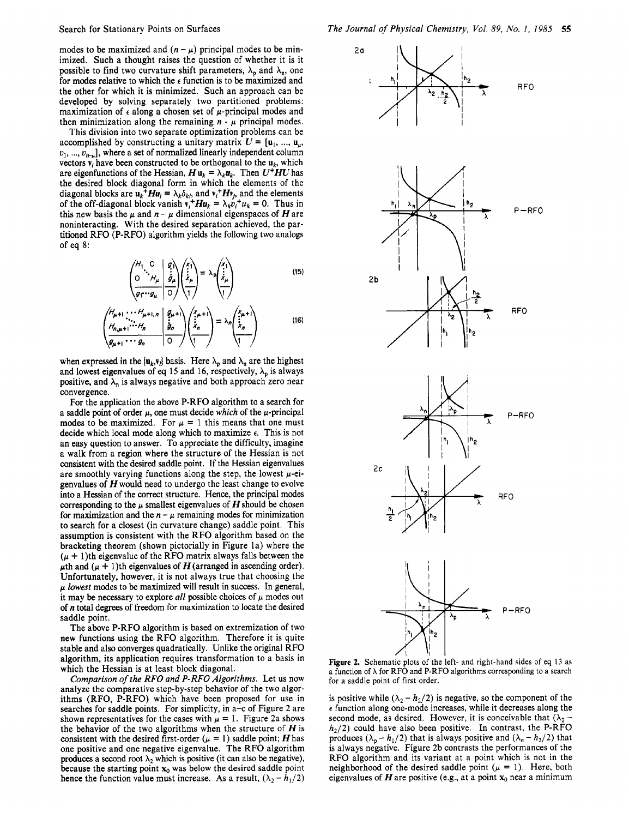modes to be maximized and  $(n - \mu)$  principal modes to be minimized. Such a thought raises the question of whether it is it possible to find two curvature shift parameters,  $\lambda_p$  and  $\lambda_p$ , one for modes relative to which the **e** function is to be maximized and the other for which it is minimized. Such an approach can be developed by solving separately two partitioned problems: maximization of  $\epsilon$  along a chosen set of  $\mu$ -principal modes and then minimization along the remaining  $n - \mu$  principal modes.

This division into two separate optimization problems can be accomplished by constructing a unitary matrix  $U = \{u_1, ..., u_n\}$  $v_1, ..., v_{n-\mu}$ , where a set of normalized linearly independent column vectors  $\mathbf{v}_i$  have been constructed to be orthogonal to the  $\mathbf{u}_k$ , which are eigenfunctions of the Hessian,  $H u_k = \lambda_k u_k$ . Then  $U^+ H U$  has the desired block diagonal form in which the elements of the diagonal blocks are  $u_k^{\dagger}Hu_l = \lambda_k \delta_{kl}$ , and  $v_i^+Hv_j$ , and the elements of the off-diagonal block vanish  $v_i^+ H u_k = \lambda_k v_i^+ u_k = 0$ . Thus in this new basis the  $\mu$  and  $n - \mu$  dimensional eigenspaces of H are noninteracting. With the desired separation achieved, the partitioned RFO (P-RFO) algorithm yields the following two analogs of eq 8:

$$
\left(\begin{array}{c}\nH_1 \cdot \bigcirc \\
\bigcirc \\
\frac{\partial}{\partial r} \cdot \bigcirc \mu_{\mu} \\
\frac{\partial}{\partial r}\n\end{array}\middle|\n\begin{array}{c}\ng \\
\vdots \\
\frac{\partial}{\partial \mu} \\
\frac{\partial}{\partial r}\n\end{array}\n\right)\n\left(\begin{array}{c}\n\chi_1 \\
\vdots \\
\frac{\partial}{\partial r}\n\end{array}\right) = \lambda_p \left(\begin{array}{c}\n\chi_1 \\
\vdots \\
\frac{\partial}{\partial r}\n\end{array}\right) \n\tag{15}
$$

$$
\left(\begin{array}{c}\nH_{\mu+1} \cdots H_{\mu+1,n} \\
H_{n,\mu+1} \cdots H_n\n\end{array}\middle| \begin{array}{c}\ng_{\mu+1} \\
\vdots \\
\frac{\partial}{\partial n}\n\end{array}\right)\n\left(\begin{array}{c}\n\ddots \\
\ddots \\
\ddots \\
\frac{\partial}{\partial n}\n\end{array}\right) = \lambda_n \left(\begin{array}{c}\n\ddots \\
\ddots \\
\ddots \\
\frac{\partial}{\partial n}\n\end{array}\right) \tag{16}
$$

when expressed in the  $\{u_k, v_j\}$  basis. Here  $\lambda_p$  and  $\lambda_n$  are the highest and lowest eigenvalues of eq 15 and 16, respectively,  $\lambda_p$  is always positive, and  $\lambda_n$  is always negative and both approach zero near convergence.

For the application the above P-RFO algorithm to a search for a saddle point of order  $\mu$ , one must decide which of the  $\mu$ -principal modes to be maximized. For  $\mu = 1$  this means that one must decide which local mode along which to maximize **e.** This is not an easy question to answer. To appreciate the difficulty, imagine a walk from a region where the structure of the Hessian is not consistent with the desired saddle point. If the Hessian eigenvalues are smoothly varying functions along the step, the lowest  $\mu$ -eigenvalues of  $H$  would need to undergo the least change to evolve into a Hessian of the correct structure. Hence, the principal modes corresponding to the  $\mu$  smallest eigenvalues of  $H$  should be chosen for maximization and the  $n - \mu$  remaining modes for minimization to search for a closest (in curvature change) saddle point. This assumption is consistent with the RFO algorithm based on the bracketing theorem (shown pictorially in Figure la) where the  $(\mu + 1)$ th eigenvalue of the RFO matrix always falls between the  $\mu$ th and  $(\mu + 1)$ th eigenvalues of **H** (arranged in ascending order). Unfortunately, however, it is not always true that choosing the *p* lowest modes to be maximized will result in success. **In** general, it may be necessary to explore *all* possible choices of  $\mu$  modes out of n total degrees of freedom for maximization to locate the desired saddle point.

The above P-RFO algorithm is based on extremization of two new functions using the RFO algorithm. Therefore it is quite stable and also converges quadratically. Unlike the original RFO algorithm, its application requires transformation to a basis in which the Hessian is at least block diagonal.

Comparison *of* the *RFO* and *P-RFO* Algorithms. Let us now analyze the comparative step-by-step behavior of the two algorithms (RFO, P-RFO) which have been proposed for use in searches for saddle points. For simplicity, in a-c of Figure 2 are shown representatives for the cases with  $\mu = 1$ . Figure 2a shows the behavior of the two algorithms when the structure of  $H$  is consistent with the desired first-order  $(\mu = 1)$  saddle point; *H* has one positive and one negative eigenvalue. The RFO algorithm produces a second root  $\lambda_2$  which is positive (it can also be negative), because the starting point  $x_0$  was below the desired saddle point hence the function value must increase. As a result,  $(\lambda_2 - h_1/2)$ 



**Figure 2.** Schematic **plots** of the left- and right-hand sides of eq 13 as a function of  $\lambda$  for RFO and P-RFO algorithms corresponding to a search for a saddle point of first order.

is positive while  $(\lambda_2 - h_2/2)$  is negative, so the component of the  $\epsilon$  function along one-mode increases, while it decreases along the second mode, as desired. However, it is conceivable that  $(\lambda_2 - h_2/2)$  could have also been positive. In contrast, the P-RFO produces  $(\lambda_p - h_1/2)$  that is always positive and  $(\lambda_n - h_2/2)$  that is always negative. Figure 2b contrasts the performances of the RFO algorithm and its variant at a point which is not in the neighborhood of the desired saddle point  $(\mu = 1)$ . Here, both eigenvalues of  $H$  are positive (e.g., at a point  $x_0$  near a minimum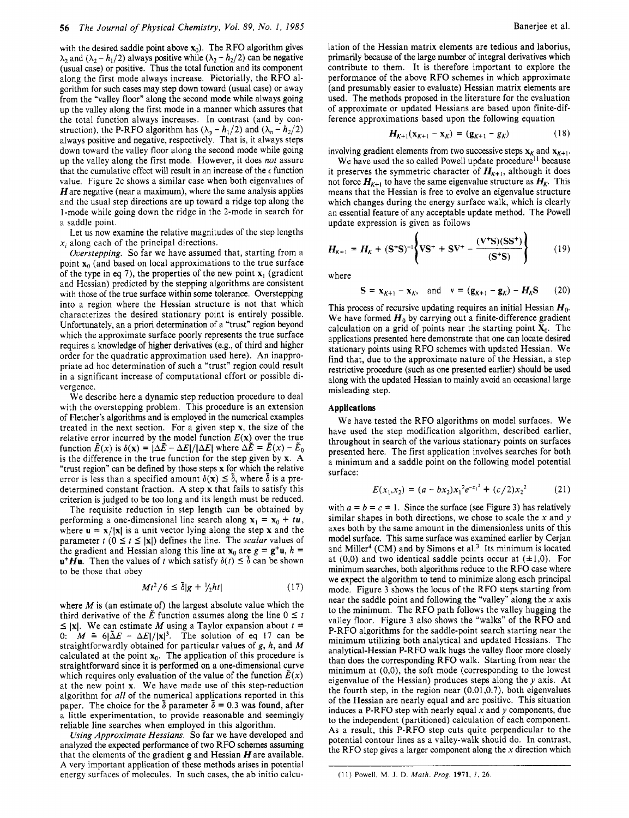with the desired saddle point above  $x_0$ ). The RFO algorithm gives  $\lambda_2$  and  $(\lambda_2 - h_1/2)$  always positive while  $(\lambda_2 - h_2/2)$  can be negative (usual case) or positive. Thus the total function and its component along the first mode always increase. Pictorially, the RFO algorithm for such cases may step down toward (usual case) or away from the "valley **floor"** along the second mode while always going up the valley along the first mode in a manner which assures that the total function always increases. In contrast (and by construction), the P-RFO algorithm has  $(\lambda_p - h_1/2)$  and  $(\lambda_n - h_2/2)$ always positive and negative, respectively. That is, it always steps down toward the valley floor along the second mode while going up the valley along the first mode. However, it does *not* assure that the cumulative effect will result in an increase of the  $\epsilon$  function value. Figure 2c shows a similar case when both eigenvalues of  $H$  are negative (near a maximum), where the same analysis applies and the usual step directions are up toward a ridge top along the I-mode while going down the ridge in the 2-mode in search for a saddle point.

Let us now examine the relative magnitudes of the step lengths  $x_i$  along each of the principal directions.

Overstepping. So far we have assumed that, starting from a point  $\mathbf{x}_0$  (and based on local approximations to the true surface of the type in eq 7), the properties of the new point  $x_1$  (gradient and Hessian) predicted by the stepping algorithms are consistent with those of the true surface within some tolerance. Overstepping into a region where the Hessian structure is not that which characterizes the desired stationary point is entirely possible. Unfortunately, an a priori determination of a "trust" region beyond which the approximate surface poorly represents the true surface requires a knowledge of higher derivatives (e.g., of third and higher order for the quadratic approximation used here). An inappropriate ad hoc determination of such a "trust" region could result in a significant increase of computational effort or possible divergence.

We describe here a dynamic step reduction procedure to deal with the overstepping problem. This procedure is an extension of Fletcher's algorithms and is employed in the numerical examples treated in the next section. For a given step **x,** the size of the relative error incurred by the model function  $E(x)$  over the true function  $\tilde{E}(x)$  is  $\delta(x) = |\Delta \tilde{E} - \Delta E|/|\Delta E|$  where  $\Delta \tilde{E} = \tilde{E}(x) - \tilde{E}_0$ is the difference in the true function for the step given by **x.** A "trust region" can be defined by those steps  $x$  for which the relative error is less than a specified amount  $\delta(\mathbf{x}) \leq \delta$ , where  $\delta$  is a predetermined constant fraction. **A** step **x** that fails to satisfy this criterion is judged to be too long and its length must be reduced.

The requisite reduction in step length can be obtained by performing a one-dimensional line search along  $\mathbf{x}_1 = \mathbf{x}_0 + t\mathbf{u}$ , where  $\mathbf{u} = \mathbf{x}/|\mathbf{x}|$  is a unit vector lying along the step **x** and the parameter  $t$  ( $0 \le t \le |x|$ ) defines the line. The *scalar* values of the gradient and Hessian along this line at  $\mathbf{x}_0$  are  $g = \mathbf{g}^+ \mathbf{u}$ ,  $h =$  $\mathbf{u}^+ \mathbf{H} \mathbf{u}$ . Then the values of t which satisfy  $\delta(t) \leq \delta$  can be shown to be those that obey

$$
Mt^2/6 \le \tilde{\delta}|g + \frac{1}{2}ht| \tag{17}
$$

where  $M$  is (an estimate of) the largest absolute value which the where M is (an estimate of) the largest absolute value which the<br>third derivative of the  $\tilde{E}$  function assumes along the line  $0 \le t$ <br> $\le$   $|y|$ . We can estimate M using a Toylor expansion about  $t =$ third derivative of the  $\bar{E}$  function assumes along the line  $0 \le t \le |\mathbf{x}|$ . We can estimate *M* using a Taylor expansion about  $t =$ 0:  $M = 6|\tilde{\Delta}E - \Delta E|/|\mathbf{x}|^3$ . The solution of eq 17 can be straightforwardly obtained for particular values of g, h, and *M*  calculated at the point **xo.** The application of this procedure is straightforward since it is performed on a one-dimensional curve which requires only evaluation of the value of the function  $E(x)$ at the new point **x.** We have made use of this step-reduction algorithm for all of the numerical applications reported in this paper. The choice for the  $\delta$  parameter  $\delta = 0.3$  was found, after a little experimentation, to provide reasonable and seemingly reliable line searches when employed in this algorithm.

Using Approximate Hessians. So far we have developed and analyzed the expected performance of two RFO schemes assuming that the elements of the gradient **g** and Hessian Hare available. **A** very important application of these methods arises in potential energy surfaces of molecules. In such cases, the ab initio calculation of the Hessian matrix elements are tedious and laborius, primarily because of the large number of integral derivatives which contribute to them. It is therefore important to explore the performance of the above RFO schemes in which approximate (and presumably easier to evaluate) Hessian matrix elements are used. The methods proposed in the literature for the evaluation of approximate or updated Hessians are based upon finite-difference approximations based upon the following equation

$$
H_{K+1}(\mathbf{x}_{K+1} - \mathbf{x}_K) = (\mathbf{g}_{K+1} - g_K) \tag{18}
$$

involving gradient elements from two successive steps  $\mathbf{x}_k$  and  $\mathbf{x}_{K+1}$ .

We have used the so called Powell update procedure<sup>11</sup> because it preserves the symmetric character of  $H_{K+1}$ , although it does not force  $H_{K+1}$  to have the same eigenvalue structure as  $H_K$ . This means that the Hessian is free to evolve an eigenvalue structure which changes during the energy surface walk, which is clearly an essential feature of any acceptable update method. The Powell update expression is given as follows

$$
H_{K+1} = H_K + (S^+S)^{-1} \left\{ VS^+ + SV^+ - \frac{(V^+S)(SS^+)}{(S^+S)} \right\}
$$
(19)

 $\lambda$ 

where

$$
S = x_{K+1} - x_K, \text{ and } v = (g_{K+1} - g_K) - H_K S \qquad (20)
$$

This process of recursive updating requires an initial Hessian *Ho.*  We have formed  $H_0$  by carrying out a finite-difference gradient calculation on a grid of points near the starting point  $X_0$ . The applications presented here demonstrate that one can locate desired stationary points using RFO schemes with updated Hessian. We find that, due to the approximate nature of the Hessian, a step restrictive procedure (such as one presented earlier) should be used along with the updated Hessian to mainly avoid an occasional large misleading step.

# **Applications**

We have tested the RFO algorithms on model surfaces. We have used the step modification algorithm, described earlier, throughout in search of the various stationary points on surfaces presented here. The first application involves searches for both a minimum and a saddle point on the following model potential surface:

$$
E(x_1, x_2) = (a - bx_2)x_1^2 e^{-x_1^2} + (c/2)x_2^2 \tag{21}
$$

with  $a = b = c = 1$ . Since the surface (see Figure 3) has relatively similar shapes in both directions, we chose to scale the x and *y*  axes both by the same amount in the dimensionless units of this model surface. This same surface was examined earlier by Cerjan and Miller<sup>4</sup> (CM) and by Simons et al.<sup>3</sup> Its minimum is located at (0,0) and two identical saddle points occur at  $(\pm 1,0)$ . For minimum searches, both algorithms reduce to the RFO case where we expect the algorithm to tend to minimize along each principal mode. Figure 3 shows the locus of the RFO steps starting from near the saddle point and following the "valley" along the  $x$  axis to the minimum. The RFO path follows the valley hugging the valley floor. Figure 3 also shows the "walks" of the RFO and P-RFO algorithms for the saddle-point search starting near the minimum utilizing both analytical and updated Hessians. The analytical-Hessian P-RFO walk hugs the valley floor more closely than does the corresponding RFO walk. Starting from near the minimum at  $(0,0)$ , the soft mode (corresponding to the lowest eigenvalue of the Hessian) produces steps along the  $y$  axis. At the fourth step, in the region near (0.01,0.7), both eigenvalues of the Hessian are nearly equal and are positive. This situation induces a P-RFO step with nearly equal  $x$  and  $y$  components, due to the independent (partitioned) calculation of each component. **As** a result, this P-RFO step cuts quite perpendicular to the potential contour lines as a valley-walk should do. In contrast, the RFO step gives a larger component along the **x** direction which

<sup>(11)</sup> Powell, **M.** J. D. *Math. Prog.* **1971,** *I,* 26.